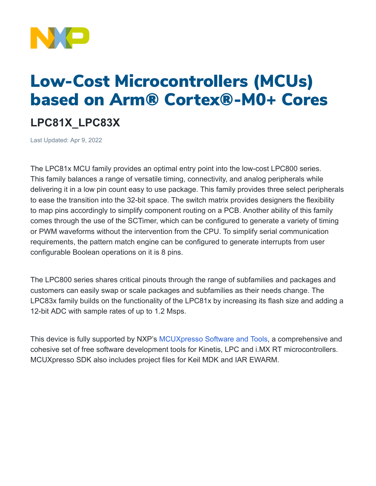

## Low-Cost Microcontrollers (MCUs) based on Arm® Cortex®-M0+ Cores

## **LPC81X\_LPC83X**

Last Updated: Apr 9, 2022

The LPC81x MCU family provides an optimal entry point into the low-cost LPC800 series. This family balances a range of versatile timing, connectivity, and analog peripherals while delivering it in a low pin count easy to use package. This family provides three select peripherals to ease the transition into the 32-bit space. The switch matrix provides designers the flexibility to map pins accordingly to simplify component routing on a PCB. Another ability of this family comes through the use of the SCTimer, which can be configured to generate a variety of timing or PWM waveforms without the intervention from the CPU. To simplify serial communication requirements, the pattern match engine can be configured to generate interrupts from user configurable Boolean operations on it is 8 pins.

The LPC800 series shares critical pinouts through the range of subfamilies and packages and customers can easily swap or scale packages and subfamilies as their needs change. The LPC83x family builds on the functionality of the LPC81x by increasing its flash size and adding a 12-bit ADC with sample rates of up to 1.2 Msps.

This device is fully supported by NXP's [MCUXpresso](https://www.nxp.com/design/software/development-software/mcuxpresso-software-and-tools-:MCUXPRESSO) Software and Tools, a comprehensive and cohesive set of free software development tools for Kinetis, LPC and i.MX RT microcontrollers. MCUXpresso SDK also includes project files for Keil MDK and IAR EWARM.